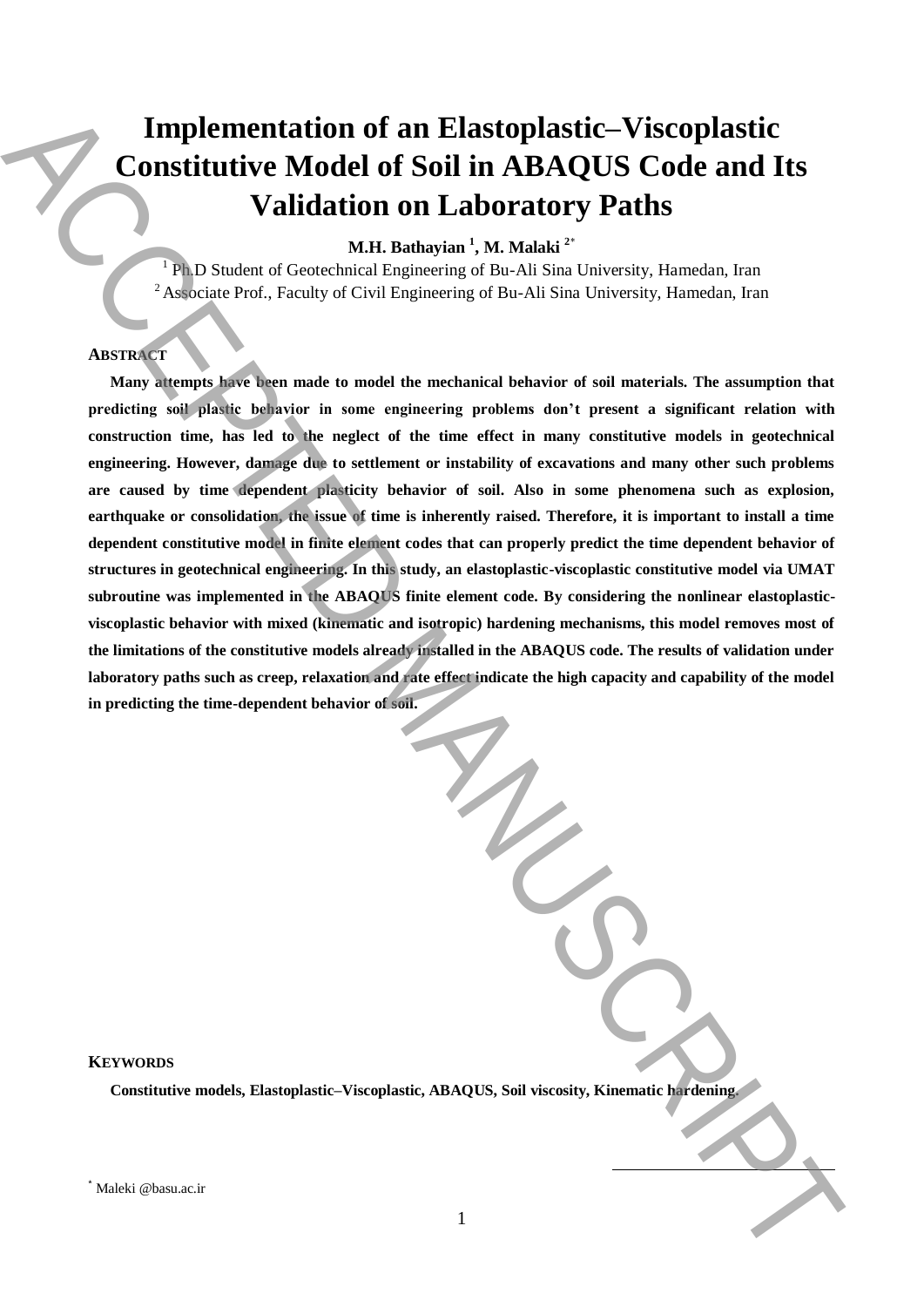# **Implementation of an Elastoplastic–Viscoplastic Constitutive Model of Soil in ABAQUS Code and Its Validation on Laboratory Paths**

**M.H. Bathayian <sup>1</sup> , M. Malaki <sup>2</sup>**\*

<sup>1</sup> Ph.D Student of Geotechnical Engineering of Bu-Ali Sina University, Hamedan, Iran <sup>2</sup> Associate Prof., Faculty of Civil Engineering of Bu-Ali Sina University, Hamedan, Iran

# **ABSTRACT**

**Many attempts have been made to model the mechanical behavior of soil materials. The assumption that predicting soil plastic behavior in some engineering problems don't present a significant relation with construction time, has led to the neglect of the time effect in many constitutive models in geotechnical engineering. However, damage due to settlement or instability of excavations and many other such problems are caused by time dependent plasticity behavior of soil. Also in some phenomena such as explosion, earthquake or consolidation, the issue of time is inherently raised. Therefore, it is important to install a time dependent constitutive model in finite element codes that can properly predict the time dependent behavior of structures in geotechnical engineering. In this study, an elastoplastic-viscoplastic constitutive model via UMAT subroutine was implemented in the ABAQUS finite element code. By considering the nonlinear elastoplasticviscoplastic behavior with mixed (kinematic and isotropic) hardening mechanisms, this model removes most of the limitations of the constitutive models already installed in the ABAQUS code. The results of validation under laboratory paths such as creep, relaxation and rate effect indicate the high capacity and capability of the model in predicting the time-dependent behavior of soil. Emplementation of an Elastoplastic-Viscoplastic<br>
Constitutive Model of Soil in ABAQUS Code and Its<br>
Validation on Laboratory Pathis<br>
Validation on Laboratory and Experimental Equivalent Constitutive Manuscript<br>
The Sales** 

## **KEYWORDS**

**Constitutive models, Elastoplastic–Viscoplastic, ABAQUS, Soil viscosity, Kinematic hardening.**

**.**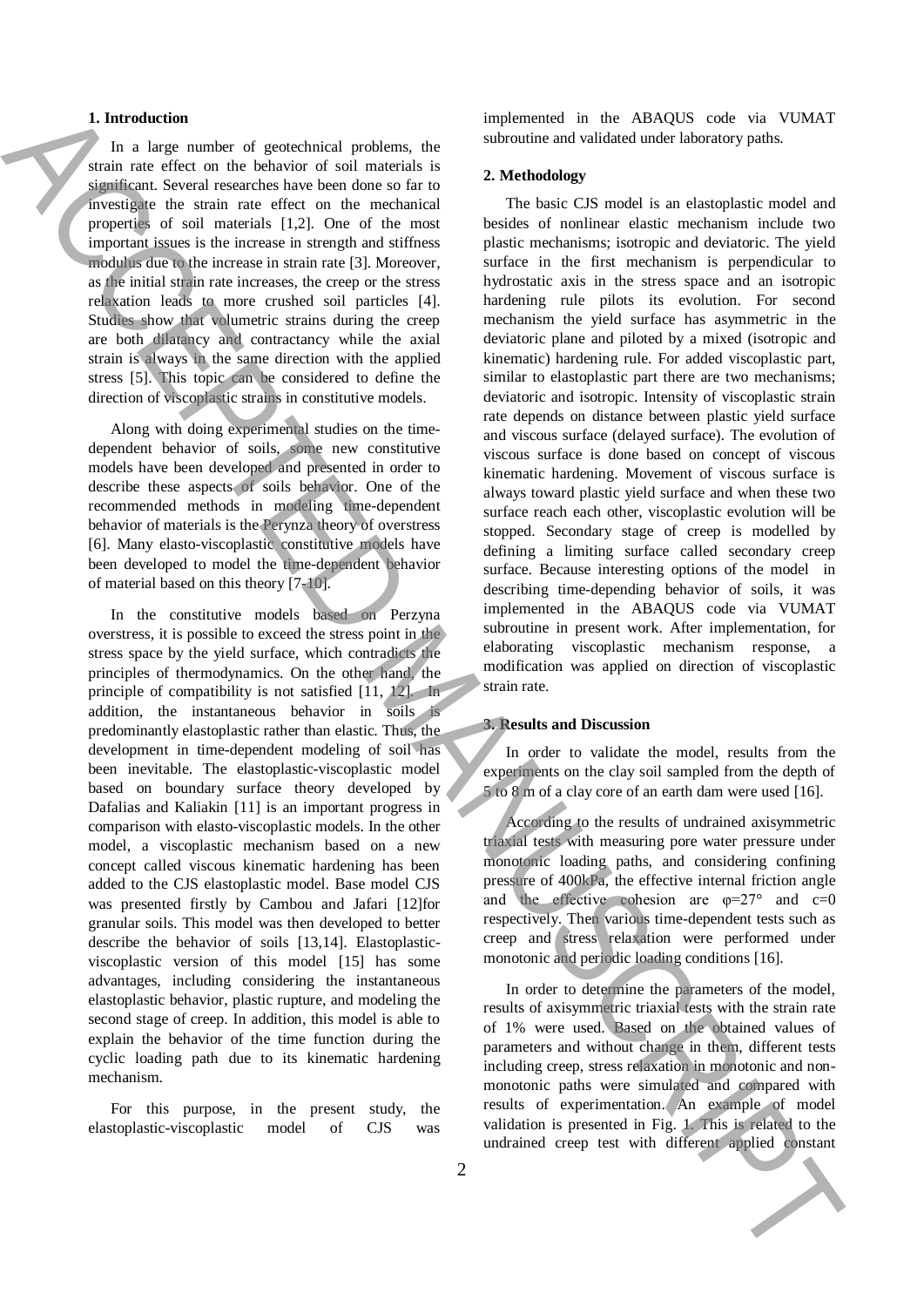#### **1. Introduction**

In a large number of geotechnical problems, the strain rate effect on the behavior of soil materials is significant. Several researches have been done so far to investigate the strain rate effect on the mechanical properties of soil materials [1,2]. One of the most important issues is the increase in strength and stiffness modulus due to the increase in strain rate [3]. Moreover, as the initial strain rate increases, the creep or the stress relaxation leads to more crushed soil particles [4]. Studies show that volumetric strains during the creep are both dilatancy and contractancy while the axial strain is always in the same direction with the applied stress [5]. This topic can be considered to define the direction of viscoplastic strains in constitutive models.

Along with doing experimental studies on the timedependent behavior of soils, some new constitutive models have been developed and presented in order to describe these aspects of soils behavior. One of the recommended methods in modeling time-dependent behavior of materials is the Perynza theory of overstress [6]. Many elasto-viscoplastic constitutive models have been developed to model the time-dependent behavior of material based on this theory [7-10].

In the constitutive models based on Perzyna overstress, it is possible to exceed the stress point in the stress space by the yield surface, which contradicts the principles of thermodynamics. On the other hand, the principle of compatibility is not satisfied [11, 12]. In addition, the instantaneous behavior in soils is predominantly elastoplastic rather than elastic. Thus, the development in time-dependent modeling of soil has been inevitable. The elastoplastic-viscoplastic model based on boundary surface theory developed by Dafalias and Kaliakin [11] is an important progress in comparison with elasto-viscoplastic models. In the other model, a viscoplastic mechanism based on a new concept called viscous kinematic hardening has been added to the CJS elastoplastic model. Base model CJS was presented firstly by Cambou and Jafari [12]for granular soils. This model was then developed to better describe the behavior of soils [13,14]. Elastoplasticviscoplastic version of this model [15] has some advantages, including considering the instantaneous elastoplastic behavior, plastic rupture, and modeling the second stage of creep. In addition, this model is able to explain the behavior of the time function during the cyclic loading path due to its kinematic hardening mechanism.

For this purpose, in the present study, the elastoplastic-viscoplastic model of CJS was implemented in the ABAQUS code via VUMAT subroutine and validated under laboratory paths.

#### **2. Methodology**

The basic CJS model is an elastoplastic model and besides of nonlinear elastic mechanism include two plastic mechanisms; isotropic and deviatoric. The yield surface in the first mechanism is perpendicular to hydrostatic axis in the stress space and an isotropic hardening rule pilots its evolution. For second mechanism the yield surface has asymmetric in the deviatoric plane and piloted by a mixed (isotropic and kinematic) hardening rule. For added viscoplastic part, similar to elastoplastic part there are two mechanisms; deviatoric and isotropic. Intensity of viscoplastic strain rate depends on distance between plastic yield surface and viscous surface (delayed surface). The evolution of viscous surface is done based on concept of viscous kinematic hardening. Movement of viscous surface is always toward plastic yield surface and when these two surface reach each other, viscoplastic evolution will be stopped. Secondary stage of creep is modelled by defining a limiting surface called secondary creep surface. Because interesting options of the model in describing time-depending behavior of soils, it was implemented in the ABAQUS code via VUMAT subroutine in present work. After implementation, for elaborating viscoplastic mechanism response, a modification was applied on direction of viscoplastic strain rate. L. Interaction of every interaction and the ABACCES and the ABACCES and the ABACCES and the stationary and the stationary of the ABACCES and the accepted constant applies the stationary of the stationary of the stationary

# **3. Results and Discussion**

In order to validate the model, results from the experiments on the clay soil sampled from the depth of 5 to 8 m of a clay core of an earth dam were used [16].

According to the results of undrained axisymmetric triaxial tests with measuring pore water pressure under monotonic loading paths, and considering confining pressure of 400kPa, the effective internal friction angle and the effective cohesion are  $\varphi = 27^\circ$  and  $c=0$ respectively. Then various time-dependent tests such as creep and stress relaxation were performed under monotonic and periodic loading conditions [16].

In order to determine the parameters of the model, results of axisymmetric triaxial tests with the strain rate of 1% were used. Based on the obtained values of parameters and without change in them, different tests including creep, stress relaxation in monotonic and nonmonotonic paths were simulated and compared with results of experimentation. An example of model validation is presented in Fig. 1. This is related to the